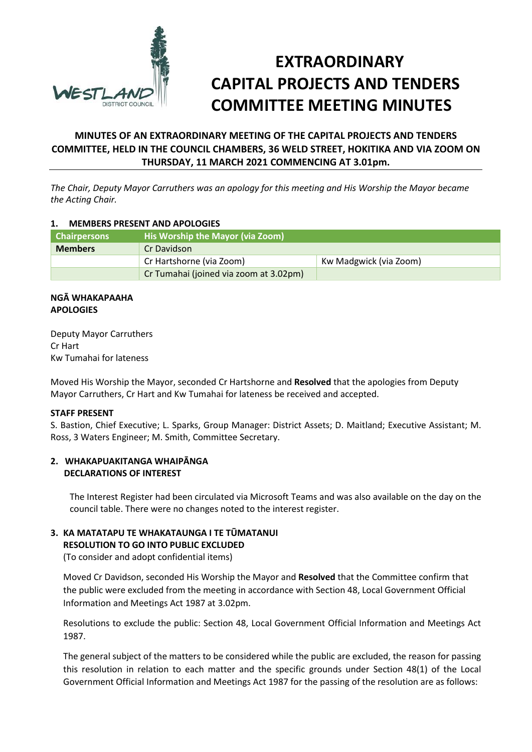

# **EXTRAORDINARY CAPITAL PROJECTS AND TENDERS COMMITTEE MEETING MINUTES**

# **MINUTES OF AN EXTRAORDINARY MEETING OF THE CAPITAL PROJECTS AND TENDERS COMMITTEE, HELD IN THE COUNCIL CHAMBERS, 36 WELD STREET, HOKITIKA AND VIA ZOOM ON THURSDAY, 11 MARCH 2021 COMMENCING AT 3.01pm.**

*The Chair, Deputy Mayor Carruthers was an apology for this meeting and His Worship the Mayor became the Acting Chair.*

#### **1. MEMBERS PRESENT AND APOLOGIES**

| <b>Chairpersons</b> | His Worship the Mayor (via Zoom)       |                        |
|---------------------|----------------------------------------|------------------------|
| <b>Members</b>      | Cr Davidson                            |                        |
|                     | Cr Hartshorne (via Zoom)               | Kw Madgwick (via Zoom) |
|                     | Cr Tumahai (joined via zoom at 3.02pm) |                        |

## **NGĀ WHAKAPAAHA APOLOGIES**

Deputy Mayor Carruthers Cr Hart Kw Tumahai for lateness

Moved His Worship the Mayor, seconded Cr Hartshorne and **Resolved** that the apologies from Deputy Mayor Carruthers, Cr Hart and Kw Tumahai for lateness be received and accepted.

#### **STAFF PRESENT**

S. Bastion, Chief Executive; L. Sparks, Group Manager: District Assets; D. Maitland; Executive Assistant; M. Ross, 3 Waters Engineer; M. Smith, Committee Secretary.

## **2. WHAKAPUAKITANGA WHAIPĀNGA DECLARATIONS OF INTEREST**

The Interest Register had been circulated via Microsoft Teams and was also available on the day on the council table. There were no changes noted to the interest register.

## **3. KA MATATAPU TE WHAKATAUNGA I TE TŪMATANUI**

**RESOLUTION TO GO INTO PUBLIC EXCLUDED**

(To consider and adopt confidential items)

Moved Cr Davidson, seconded His Worship the Mayor and **Resolved** that the Committee confirm that the public were excluded from the meeting in accordance with Section 48, Local Government Official Information and Meetings Act 1987 at 3.02pm.

Resolutions to exclude the public: Section 48, Local Government Official Information and Meetings Act 1987.

The general subject of the matters to be considered while the public are excluded, the reason for passing this resolution in relation to each matter and the specific grounds under Section 48(1) of the Local Government Official Information and Meetings Act 1987 for the passing of the resolution are as follows: